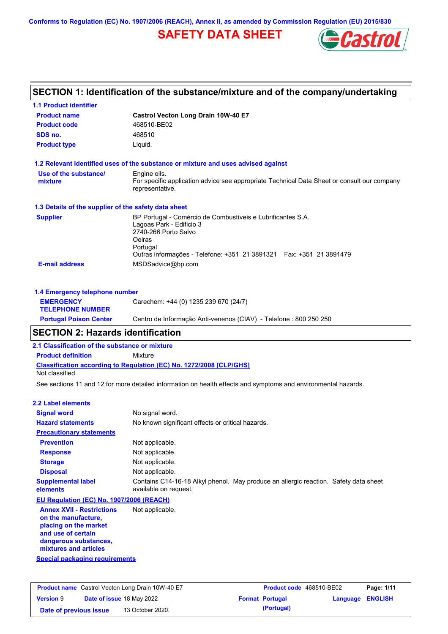**Conforms to Regulation (EC) No. 1907/2006 (REACH), Annex II, as amended by Commission Regulation (EU) 2015/830**

# **SAFETY DATA SHEET**



| SECTION 1: Identification of the substance/mixture and of the company/undertaking |                                                                                                             |  |  |  |
|-----------------------------------------------------------------------------------|-------------------------------------------------------------------------------------------------------------|--|--|--|
| <b>1.1 Product identifier</b>                                                     |                                                                                                             |  |  |  |
| <b>Product name</b>                                                               | Castrol Vecton Long Drain 10W-40 E7                                                                         |  |  |  |
| <b>Product code</b>                                                               | 468510-BE02                                                                                                 |  |  |  |
| SDS no.                                                                           | 468510                                                                                                      |  |  |  |
| <b>Product type</b>                                                               | Liquid.                                                                                                     |  |  |  |
|                                                                                   | 1.2 Relevant identified uses of the substance or mixture and uses advised against                           |  |  |  |
| Use of the substance/<br>mixture                                                  | Engine oils.<br>For specific application advice see appropriate Technical Data Sheet or consult our company |  |  |  |
|                                                                                   | representative.                                                                                             |  |  |  |
| 1.3 Details of the supplier of the safety data sheet                              |                                                                                                             |  |  |  |
| <b>Supplier</b>                                                                   | BP Portugal - Comércio de Combustíveis e Lubrificantes S.A.                                                 |  |  |  |
|                                                                                   | Lagoas Park - Edificio 3<br>2740-266 Porto Salvo                                                            |  |  |  |
|                                                                                   | Oeiras                                                                                                      |  |  |  |
|                                                                                   | Portugal                                                                                                    |  |  |  |
|                                                                                   | Outras informações - Telefone: +351 21 3891321   Fax: +351 21 3891479                                       |  |  |  |
| <b>E-mail address</b>                                                             | MSDSadvice@bp.com                                                                                           |  |  |  |
| 1.4 Emergency telephone number                                                    |                                                                                                             |  |  |  |
| <b>EMERGENCY</b>                                                                  | Carechem: +44 (0) 1235 239 670 (24/7)                                                                       |  |  |  |
| <b>TELEPHONE NUMBER</b>                                                           |                                                                                                             |  |  |  |
| <b>Portugal Poison Center</b>                                                     | Centro de Informação Anti-venenos (CIAV) - Telefone : 800 250 250                                           |  |  |  |

### **SECTION 2: Hazards identification**

**2.1 Classification of the substance or mixture**

**Product definition** Mixture

**Classification according to Regulation (EC) No. 1272/2008 [CLP/GHS]** Not classified.

See sections 11 and 12 for more detailed information on health effects and symptoms and environmental hazards.

#### **2.2 Label elements**

| <b>Signal word</b>                                                                                     | No signal word.                                                                                               |  |  |
|--------------------------------------------------------------------------------------------------------|---------------------------------------------------------------------------------------------------------------|--|--|
| <b>Hazard statements</b>                                                                               | No known significant effects or critical hazards.                                                             |  |  |
| <b>Precautionary statements</b>                                                                        |                                                                                                               |  |  |
| <b>Prevention</b>                                                                                      | Not applicable.                                                                                               |  |  |
| <b>Response</b>                                                                                        | Not applicable.                                                                                               |  |  |
| <b>Storage</b>                                                                                         | Not applicable.                                                                                               |  |  |
| <b>Disposal</b>                                                                                        | Not applicable.                                                                                               |  |  |
| <b>Supplemental label</b><br>elements                                                                  | Contains C14-16-18 Alkyl phenol. May produce an allergic reaction. Safety data sheet<br>available on request. |  |  |
| EU Regulation (EC) No. 1907/2006 (REACH)                                                               |                                                                                                               |  |  |
| <b>Annex XVII - Restrictions</b><br>on the manufacture.<br>placing on the market<br>and use of certain | Not applicable.                                                                                               |  |  |

**and use of certain dangerous substances, mixtures and articles**

**Special packaging requirements**

| <b>Product name</b> Castrol Vecton Long Drain 10W-40 E7 |                                  | Product code 468510-BE02 |  | Page: 1/11             |                         |  |
|---------------------------------------------------------|----------------------------------|--------------------------|--|------------------------|-------------------------|--|
| <b>Version 9</b>                                        | <b>Date of issue 18 May 2022</b> |                          |  | <b>Format Portugal</b> | <b>Language ENGLISH</b> |  |
| Date of previous issue                                  |                                  | 13 October 2020.         |  | (Portugal)             |                         |  |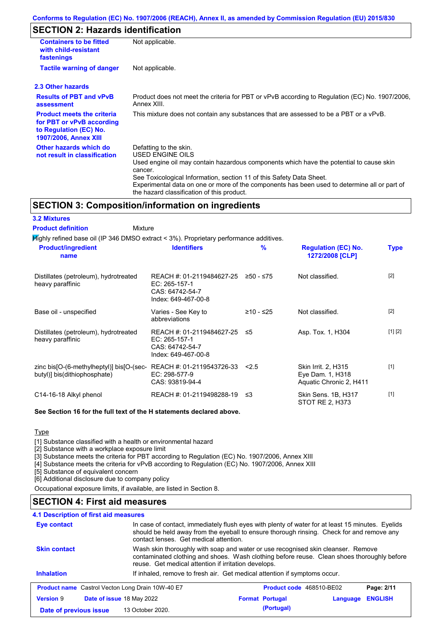### **SECTION 2: Hazards identification**

| <b>Containers to be fitted</b><br>with child-resistant<br>fastenings                                                                                          | Not applicable.                                                                                                                                                                                                                                                                                                                                                        |  |  |  |  |
|---------------------------------------------------------------------------------------------------------------------------------------------------------------|------------------------------------------------------------------------------------------------------------------------------------------------------------------------------------------------------------------------------------------------------------------------------------------------------------------------------------------------------------------------|--|--|--|--|
| <b>Tactile warning of danger</b>                                                                                                                              | Not applicable.                                                                                                                                                                                                                                                                                                                                                        |  |  |  |  |
| 2.3 Other hazards                                                                                                                                             |                                                                                                                                                                                                                                                                                                                                                                        |  |  |  |  |
| <b>Results of PBT and vPvB</b><br>Product does not meet the criteria for PBT or vPvB according to Regulation (EC) No. 1907/2006,<br>Annex XIII.<br>assessment |                                                                                                                                                                                                                                                                                                                                                                        |  |  |  |  |
| <b>Product meets the criteria</b><br>for PBT or vPvB according<br>to Regulation (EC) No.<br><b>1907/2006, Annex XIII</b>                                      | This mixture does not contain any substances that are assessed to be a PBT or a vPvB.                                                                                                                                                                                                                                                                                  |  |  |  |  |
| Other hazards which do<br>not result in classification                                                                                                        | Defatting to the skin.<br>USED ENGINE OILS<br>Used engine oil may contain hazardous components which have the potential to cause skin<br>cancer.<br>See Toxicological Information, section 11 of this Safety Data Sheet.<br>Experimental data on one or more of the components has been used to determine all or part of<br>the hazard classification of this product. |  |  |  |  |

### **SECTION 3: Composition/information on ingredients**

| <b>3.2 Mixtures</b>                                                                       |                                                                                      |               |                                                                           |             |
|-------------------------------------------------------------------------------------------|--------------------------------------------------------------------------------------|---------------|---------------------------------------------------------------------------|-------------|
| <b>Product definition</b><br>Mixture                                                      |                                                                                      |               |                                                                           |             |
| $H$ ighly refined base oil (IP 346 DMSO extract < 3%). Proprietary performance additives. |                                                                                      |               |                                                                           |             |
| <b>Product/ingredient</b><br>name                                                         | <b>Identifiers</b>                                                                   | $\frac{9}{6}$ | <b>Regulation (EC) No.</b><br>1272/2008 [CLP]                             | <b>Type</b> |
| Distillates (petroleum), hydrotreated<br>heavy paraffinic                                 | REACH #: 01-2119484627-25<br>EC: 265-157-1<br>CAS: 64742-54-7<br>Index: 649-467-00-8 | $≥50 - ≤75$   | Not classified.                                                           | $[2]$       |
| Base oil - unspecified                                                                    | Varies - See Key to<br>abbreviations                                                 | ≥10 - ≤25     | Not classified.                                                           | $[2]$       |
| Distillates (petroleum), hydrotreated<br>heavy paraffinic                                 | REACH #: 01-2119484627-25<br>EC: 265-157-1<br>CAS: 64742-54-7<br>Index: 649-467-00-8 | ≤5            | Asp. Tox. 1, H304                                                         | [1] [2]     |
| zinc bis[O-(6-methylheptyl)] bis[O-(sec-<br>butyl)] bis(dithiophosphate)                  | REACH #: 01-2119543726-33<br>EC: 298-577-9<br>CAS: 93819-94-4                        | 2.5           | <b>Skin Irrit. 2, H315</b><br>Eye Dam. 1, H318<br>Aquatic Chronic 2, H411 | $[1]$       |
| C14-16-18 Alkyl phenol                                                                    | REACH #: 01-2119498288-19                                                            | ≤3            | Skin Sens. 1B, H317<br>STOT RE 2, H373                                    | $[1]$       |

#### **See Section 16 for the full text of the H statements declared above.**

Type

[1] Substance classified with a health or environmental hazard

[2] Substance with a workplace exposure limit

[3] Substance meets the criteria for PBT according to Regulation (EC) No. 1907/2006, Annex XIII

[4] Substance meets the criteria for vPvB according to Regulation (EC) No. 1907/2006, Annex XIII

[5] Substance of equivalent concern

[6] Additional disclosure due to company policy

Occupational exposure limits, if available, are listed in Section 8.

### **SECTION 4: First aid measures**

| <b>4.1 Description of first aid measures</b>                                                                                                                                                                                                           |                                                         |                                                                                                                                                                                                                                        |                            |  |  |  |
|--------------------------------------------------------------------------------------------------------------------------------------------------------------------------------------------------------------------------------------------------------|---------------------------------------------------------|----------------------------------------------------------------------------------------------------------------------------------------------------------------------------------------------------------------------------------------|----------------------------|--|--|--|
| In case of contact, immediately flush eyes with plenty of water for at least 15 minutes. Eyelids<br>Eye contact<br>should be held away from the eyeball to ensure thorough rinsing. Check for and remove any<br>contact lenses. Get medical attention. |                                                         |                                                                                                                                                                                                                                        |                            |  |  |  |
| <b>Skin contact</b>                                                                                                                                                                                                                                    |                                                         | Wash skin thoroughly with soap and water or use recognised skin cleanser. Remove<br>contaminated clothing and shoes. Wash clothing before reuse. Clean shoes thoroughly before<br>reuse. Get medical attention if irritation develops. |                            |  |  |  |
| <b>Inhalation</b>                                                                                                                                                                                                                                      |                                                         | If inhaled, remove to fresh air. Get medical attention if symptoms occur.                                                                                                                                                              |                            |  |  |  |
|                                                                                                                                                                                                                                                        | <b>Product name</b> Castrol Vecton Long Drain 10W-40 E7 | Product code 468510-BE02                                                                                                                                                                                                               | Page: 2/11                 |  |  |  |
| <b>Version 9</b>                                                                                                                                                                                                                                       | Date of issue 18 May 2022                               | <b>Format Portugal</b>                                                                                                                                                                                                                 | <b>ENGLISH</b><br>Language |  |  |  |
| Date of previous issue                                                                                                                                                                                                                                 | 13 October 2020.                                        | (Portugal)                                                                                                                                                                                                                             |                            |  |  |  |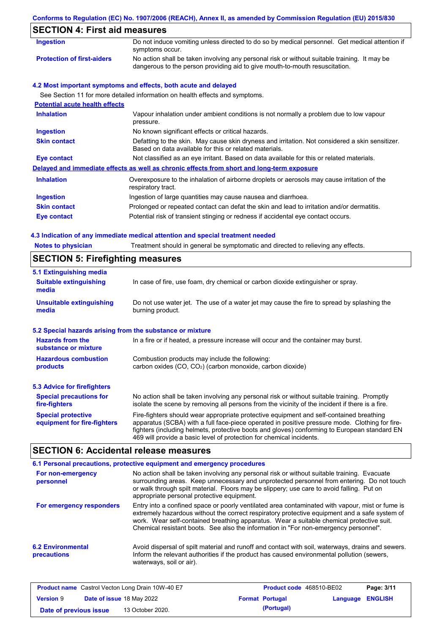|                                       | Conforms to Regulation (EC) No. 1907/2006 (REACH), Annex II, as amended by Commission Regulation (EU) 2015/830                                                              |  |  |  |
|---------------------------------------|-----------------------------------------------------------------------------------------------------------------------------------------------------------------------------|--|--|--|
| <b>SECTION 4: First aid measures</b>  |                                                                                                                                                                             |  |  |  |
| <b>Ingestion</b>                      | Do not induce vomiting unless directed to do so by medical personnel. Get medical attention if<br>symptoms occur.                                                           |  |  |  |
| <b>Protection of first-aiders</b>     | No action shall be taken involving any personal risk or without suitable training. It may be<br>dangerous to the person providing aid to give mouth-to-mouth resuscitation. |  |  |  |
|                                       | 4.2 Most important symptoms and effects, both acute and delayed                                                                                                             |  |  |  |
|                                       | See Section 11 for more detailed information on health effects and symptoms.                                                                                                |  |  |  |
| <b>Potential acute health effects</b> |                                                                                                                                                                             |  |  |  |
| <b>Inhalation</b>                     | Vapour inhalation under ambient conditions is not normally a problem due to low vapour<br>pressure.                                                                         |  |  |  |
| <b>Ingestion</b>                      | No known significant effects or critical hazards.                                                                                                                           |  |  |  |
| <b>Skin contact</b>                   | Defatting to the skin. May cause skin dryness and irritation. Not considered a skin sensitizer.<br>Based on data available for this or related materials.                   |  |  |  |
| <b>Eye contact</b>                    | Not classified as an eye irritant. Based on data available for this or related materials.                                                                                   |  |  |  |
|                                       | Delayed and immediate effects as well as chronic effects from short and long-term exposure                                                                                  |  |  |  |
| <b>Inhalation</b>                     | Overexposure to the inhalation of airborne droplets or aerosols may cause irritation of the<br>respiratory tract.                                                           |  |  |  |
| <b>Ingestion</b>                      | Ingestion of large quantities may cause nausea and diarrhoea.                                                                                                               |  |  |  |
| <b>Skin contact</b>                   | Prolonged or repeated contact can defat the skin and lead to irritation and/or dermatitis.                                                                                  |  |  |  |
| <b>Eye contact</b>                    | Potential risk of transient stinging or redness if accidental eye contact occurs.                                                                                           |  |  |  |
|                                       | 4.3 Indication of any immediate medical attention and special treatment needed                                                                                              |  |  |  |
| <b>Notes to physician</b>             | Treatment should in general be symptomatic and directed to relieving any effects.                                                                                           |  |  |  |

| <b>SECTION 5: Firefighting measures</b>                   |                                                                                                                                                                                                                                                                                                                                                                   |  |  |  |
|-----------------------------------------------------------|-------------------------------------------------------------------------------------------------------------------------------------------------------------------------------------------------------------------------------------------------------------------------------------------------------------------------------------------------------------------|--|--|--|
| 5.1 Extinguishing media                                   |                                                                                                                                                                                                                                                                                                                                                                   |  |  |  |
| <b>Suitable extinguishing</b><br>media                    | In case of fire, use foam, dry chemical or carbon dioxide extinguisher or spray.                                                                                                                                                                                                                                                                                  |  |  |  |
| <b>Unsuitable extinguishing</b><br>media                  | Do not use water jet. The use of a water jet may cause the fire to spread by splashing the<br>burning product.                                                                                                                                                                                                                                                    |  |  |  |
| 5.2 Special hazards arising from the substance or mixture |                                                                                                                                                                                                                                                                                                                                                                   |  |  |  |
| <b>Hazards from the</b><br>substance or mixture           | In a fire or if heated, a pressure increase will occur and the container may burst.                                                                                                                                                                                                                                                                               |  |  |  |
| <b>Hazardous combustion</b>                               | Combustion products may include the following:                                                                                                                                                                                                                                                                                                                    |  |  |  |
| products                                                  | carbon oxides (CO, CO <sub>2</sub> ) (carbon monoxide, carbon dioxide)                                                                                                                                                                                                                                                                                            |  |  |  |
| 5.3 Advice for firefighters                               |                                                                                                                                                                                                                                                                                                                                                                   |  |  |  |
| <b>Special precautions for</b><br>fire-fighters           | No action shall be taken involving any personal risk or without suitable training. Promptly<br>isolate the scene by removing all persons from the vicinity of the incident if there is a fire.                                                                                                                                                                    |  |  |  |
| <b>Special protective</b><br>equipment for fire-fighters  | Fire-fighters should wear appropriate protective equipment and self-contained breathing<br>apparatus (SCBA) with a full face-piece operated in positive pressure mode. Clothing for fire-<br>fighters (including helmets, protective boots and gloves) conforming to European standard EN<br>469 will provide a basic level of protection for chemical incidents. |  |  |  |

# **SECTION 6: Accidental release measures**

|                                         | 6.1 Personal precautions, protective equipment and emergency procedures                                                                                                                                                                                                                                                                                                              |
|-----------------------------------------|--------------------------------------------------------------------------------------------------------------------------------------------------------------------------------------------------------------------------------------------------------------------------------------------------------------------------------------------------------------------------------------|
| For non-emergency<br>personnel          | No action shall be taken involving any personal risk or without suitable training. Evacuate<br>surrounding areas. Keep unnecessary and unprotected personnel from entering. Do not touch<br>or walk through spilt material. Floors may be slippery; use care to avoid falling. Put on<br>appropriate personal protective equipment.                                                  |
| For emergency responders                | Entry into a confined space or poorly ventilated area contaminated with vapour, mist or fume is<br>extremely hazardous without the correct respiratory protective equipment and a safe system of<br>work. Wear self-contained breathing apparatus. Wear a suitable chemical protective suit.<br>Chemical resistant boots. See also the information in "For non-emergency personnel". |
| <b>6.2 Environmental</b><br>precautions | Avoid dispersal of spilt material and runoff and contact with soil, waterways, drains and sewers.<br>Inform the relevant authorities if the product has caused environmental pollution (sewers,<br>waterways, soil or air).                                                                                                                                                          |

| <b>Product name</b> Castrol Vecton Long Drain 10W-40 E7 |  | <b>Product code</b> 468510-BE02  |  | Page: 3/11             |                  |  |
|---------------------------------------------------------|--|----------------------------------|--|------------------------|------------------|--|
| <b>Version 9</b>                                        |  | <b>Date of issue 18 May 2022</b> |  | <b>Format Portugal</b> | Language ENGLISH |  |
| Date of previous issue                                  |  | 13 October 2020.                 |  | (Portugal)             |                  |  |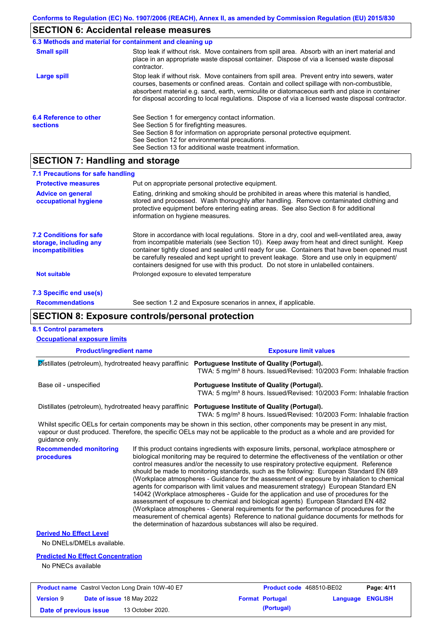# **SECTION 6: Accidental release measures**

|                                           | 6.3 Methods and material for containment and cleaning up                                                                                                                                                                                                                                                                                                                                       |
|-------------------------------------------|------------------------------------------------------------------------------------------------------------------------------------------------------------------------------------------------------------------------------------------------------------------------------------------------------------------------------------------------------------------------------------------------|
| <b>Small spill</b>                        | Stop leak if without risk. Move containers from spill area. Absorb with an inert material and<br>place in an appropriate waste disposal container. Dispose of via a licensed waste disposal<br>contractor.                                                                                                                                                                                     |
| Large spill                               | Stop leak if without risk. Move containers from spill area. Prevent entry into sewers, water<br>courses, basements or confined areas. Contain and collect spillage with non-combustible,<br>absorbent material e.g. sand, earth, vermiculite or diatomaceous earth and place in container<br>for disposal according to local regulations. Dispose of via a licensed waste disposal contractor. |
| 6.4 Reference to other<br><b>sections</b> | See Section 1 for emergency contact information.<br>See Section 5 for firefighting measures.<br>See Section 8 for information on appropriate personal protective equipment.<br>See Section 12 for environmental precautions.<br>See Section 13 for additional waste treatment information.                                                                                                     |

# **SECTION 7: Handling and storage**

| 7.1 Precautions for safe handling                                                    |                                                                                                                                                                                                                                                                                                                                                                                                                                                                                          |
|--------------------------------------------------------------------------------------|------------------------------------------------------------------------------------------------------------------------------------------------------------------------------------------------------------------------------------------------------------------------------------------------------------------------------------------------------------------------------------------------------------------------------------------------------------------------------------------|
| <b>Protective measures</b>                                                           | Put on appropriate personal protective equipment.                                                                                                                                                                                                                                                                                                                                                                                                                                        |
| <b>Advice on general</b><br>occupational hygiene                                     | Eating, drinking and smoking should be prohibited in areas where this material is handled,<br>stored and processed. Wash thoroughly after handling. Remove contaminated clothing and<br>protective equipment before entering eating areas. See also Section 8 for additional<br>information on hygiene measures.                                                                                                                                                                         |
| <b>7.2 Conditions for safe</b><br>storage, including any<br><i>incompatibilities</i> | Store in accordance with local regulations. Store in a dry, cool and well-ventilated area, away<br>from incompatible materials (see Section 10). Keep away from heat and direct sunlight. Keep<br>container tightly closed and sealed until ready for use. Containers that have been opened must<br>be carefully resealed and kept upright to prevent leakage. Store and use only in equipment/<br>containers designed for use with this product. Do not store in unlabelled containers. |
| <b>Not suitable</b>                                                                  | Prolonged exposure to elevated temperature                                                                                                                                                                                                                                                                                                                                                                                                                                               |
| 7.3 Specific end use(s)                                                              |                                                                                                                                                                                                                                                                                                                                                                                                                                                                                          |
| <b>Recommendations</b>                                                               | See section 1.2 and Exposure scenarios in annex, if applicable.                                                                                                                                                                                                                                                                                                                                                                                                                          |

# **SECTION 8: Exposure controls/personal protection**

| <b>Occupational exposure limits</b>                                                                                                                                                                                                                                    |                                                                                                                                                                                          |                                                                                                                                                                                                                                                                                                                                                                                                                                                                                                                                                                                                                                                                                                                                                                                                                                                                                                                                                                                                                            |                              |          |                |
|------------------------------------------------------------------------------------------------------------------------------------------------------------------------------------------------------------------------------------------------------------------------|------------------------------------------------------------------------------------------------------------------------------------------------------------------------------------------|----------------------------------------------------------------------------------------------------------------------------------------------------------------------------------------------------------------------------------------------------------------------------------------------------------------------------------------------------------------------------------------------------------------------------------------------------------------------------------------------------------------------------------------------------------------------------------------------------------------------------------------------------------------------------------------------------------------------------------------------------------------------------------------------------------------------------------------------------------------------------------------------------------------------------------------------------------------------------------------------------------------------------|------------------------------|----------|----------------|
| <b>Product/ingredient name</b>                                                                                                                                                                                                                                         |                                                                                                                                                                                          |                                                                                                                                                                                                                                                                                                                                                                                                                                                                                                                                                                                                                                                                                                                                                                                                                                                                                                                                                                                                                            | <b>Exposure limit values</b> |          |                |
|                                                                                                                                                                                                                                                                        | Distillates (petroleum), hydrotreated heavy paraffinic Portuguese Institute of Quality (Portugal).<br>TWA: 5 mg/m <sup>3</sup> 8 hours. Issued/Revised: 10/2003 Form: Inhalable fraction |                                                                                                                                                                                                                                                                                                                                                                                                                                                                                                                                                                                                                                                                                                                                                                                                                                                                                                                                                                                                                            |                              |          |                |
| Base oil - unspecified                                                                                                                                                                                                                                                 |                                                                                                                                                                                          | Portuguese Institute of Quality (Portugal).<br>TWA: 5 mg/m <sup>3</sup> 8 hours. Issued/Revised: 10/2003 Form: Inhalable fraction                                                                                                                                                                                                                                                                                                                                                                                                                                                                                                                                                                                                                                                                                                                                                                                                                                                                                          |                              |          |                |
| Distillates (petroleum), hydrotreated heavy paraffinic Portuguese Institute of Quality (Portugal).                                                                                                                                                                     |                                                                                                                                                                                          | TWA: 5 mg/m <sup>3</sup> 8 hours. Issued/Revised: 10/2003 Form: Inhalable fraction                                                                                                                                                                                                                                                                                                                                                                                                                                                                                                                                                                                                                                                                                                                                                                                                                                                                                                                                         |                              |          |                |
| Whilst specific OELs for certain components may be shown in this section, other components may be present in any mist,<br>vapour or dust produced. Therefore, the specific OELs may not be applicable to the product as a whole and are provided for<br>guidance only. |                                                                                                                                                                                          |                                                                                                                                                                                                                                                                                                                                                                                                                                                                                                                                                                                                                                                                                                                                                                                                                                                                                                                                                                                                                            |                              |          |                |
| <b>Recommended monitoring</b><br>procedures                                                                                                                                                                                                                            |                                                                                                                                                                                          | If this product contains ingredients with exposure limits, personal, workplace atmosphere or<br>biological monitoring may be required to determine the effectiveness of the ventilation or other<br>control measures and/or the necessity to use respiratory protective equipment. Reference<br>should be made to monitoring standards, such as the following: European Standard EN 689<br>(Workplace atmospheres - Guidance for the assessment of exposure by inhalation to chemical<br>agents for comparison with limit values and measurement strategy) European Standard EN<br>14042 (Workplace atmospheres - Guide for the application and use of procedures for the<br>assessment of exposure to chemical and biological agents) European Standard EN 482<br>(Workplace atmospheres - General requirements for the performance of procedures for the<br>measurement of chemical agents) Reference to national guidance documents for methods for<br>the determination of hazardous substances will also be required. |                              |          |                |
| <b>Derived No Effect Level</b><br>No DNELs/DMELs available.                                                                                                                                                                                                            |                                                                                                                                                                                          |                                                                                                                                                                                                                                                                                                                                                                                                                                                                                                                                                                                                                                                                                                                                                                                                                                                                                                                                                                                                                            |                              |          |                |
| <b>Predicted No Effect Concentration</b><br>No PNECs available                                                                                                                                                                                                         |                                                                                                                                                                                          |                                                                                                                                                                                                                                                                                                                                                                                                                                                                                                                                                                                                                                                                                                                                                                                                                                                                                                                                                                                                                            |                              |          |                |
| <b>Product name</b> Castrol Vecton Long Drain 10W-40 E7                                                                                                                                                                                                                |                                                                                                                                                                                          |                                                                                                                                                                                                                                                                                                                                                                                                                                                                                                                                                                                                                                                                                                                                                                                                                                                                                                                                                                                                                            | Product code 468510-BE02     |          | Page: 4/11     |
| <b>Version 9</b><br>Date of issue 18 May 2022                                                                                                                                                                                                                          |                                                                                                                                                                                          |                                                                                                                                                                                                                                                                                                                                                                                                                                                                                                                                                                                                                                                                                                                                                                                                                                                                                                                                                                                                                            | <b>Format Portugal</b>       | Language | <b>ENGLISH</b> |
| Date of previous issue                                                                                                                                                                                                                                                 | 13 October 2020.                                                                                                                                                                         |                                                                                                                                                                                                                                                                                                                                                                                                                                                                                                                                                                                                                                                                                                                                                                                                                                                                                                                                                                                                                            | (Portugal)                   |          |                |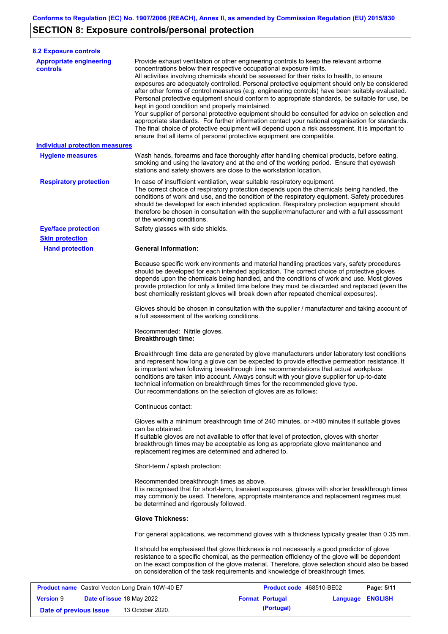# **SECTION 8: Exposure controls/personal protection**

**Version** 9

| <b>8.2 Exposure controls</b>                            |                                                                                                                        |                                                                                                                                                                                                                                                                                                                                                                                                                                                                                                                                                                                                                                                                                                                                                                                                                                                                               |            |
|---------------------------------------------------------|------------------------------------------------------------------------------------------------------------------------|-------------------------------------------------------------------------------------------------------------------------------------------------------------------------------------------------------------------------------------------------------------------------------------------------------------------------------------------------------------------------------------------------------------------------------------------------------------------------------------------------------------------------------------------------------------------------------------------------------------------------------------------------------------------------------------------------------------------------------------------------------------------------------------------------------------------------------------------------------------------------------|------------|
| <b>Appropriate engineering</b><br><b>controls</b>       | concentrations below their respective occupational exposure limits.<br>kept in good condition and properly maintained. | Provide exhaust ventilation or other engineering controls to keep the relevant airborne<br>All activities involving chemicals should be assessed for their risks to health, to ensure<br>exposures are adequately controlled. Personal protective equipment should only be considered<br>after other forms of control measures (e.g. engineering controls) have been suitably evaluated.<br>Personal protective equipment should conform to appropriate standards, be suitable for use, be<br>Your supplier of personal protective equipment should be consulted for advice on selection and<br>appropriate standards. For further information contact your national organisation for standards.<br>The final choice of protective equipment will depend upon a risk assessment. It is important to<br>ensure that all items of personal protective equipment are compatible. |            |
| <b>Individual protection measures</b>                   |                                                                                                                        |                                                                                                                                                                                                                                                                                                                                                                                                                                                                                                                                                                                                                                                                                                                                                                                                                                                                               |            |
| <b>Hygiene measures</b>                                 | stations and safety showers are close to the workstation location.                                                     | Wash hands, forearms and face thoroughly after handling chemical products, before eating,<br>smoking and using the lavatory and at the end of the working period. Ensure that eyewash                                                                                                                                                                                                                                                                                                                                                                                                                                                                                                                                                                                                                                                                                         |            |
| <b>Respiratory protection</b>                           | of the working conditions.                                                                                             | In case of insufficient ventilation, wear suitable respiratory equipment.<br>The correct choice of respiratory protection depends upon the chemicals being handled, the<br>conditions of work and use, and the condition of the respiratory equipment. Safety procedures<br>should be developed for each intended application. Respiratory protection equipment should<br>therefore be chosen in consultation with the supplier/manufacturer and with a full assessment                                                                                                                                                                                                                                                                                                                                                                                                       |            |
| <b>Eye/face protection</b>                              | Safety glasses with side shields.                                                                                      |                                                                                                                                                                                                                                                                                                                                                                                                                                                                                                                                                                                                                                                                                                                                                                                                                                                                               |            |
| <b>Skin protection</b>                                  |                                                                                                                        |                                                                                                                                                                                                                                                                                                                                                                                                                                                                                                                                                                                                                                                                                                                                                                                                                                                                               |            |
|                                                         |                                                                                                                        | Because specific work environments and material handling practices vary, safety procedures<br>should be developed for each intended application. The correct choice of protective gloves<br>depends upon the chemicals being handled, and the conditions of work and use. Most gloves<br>provide protection for only a limited time before they must be discarded and replaced (even the<br>best chemically resistant gloves will break down after repeated chemical exposures).                                                                                                                                                                                                                                                                                                                                                                                              |            |
|                                                         | a full assessment of the working conditions.                                                                           | Gloves should be chosen in consultation with the supplier / manufacturer and taking account of                                                                                                                                                                                                                                                                                                                                                                                                                                                                                                                                                                                                                                                                                                                                                                                |            |
|                                                         | Recommended: Nitrile gloves.<br><b>Breakthrough time:</b>                                                              |                                                                                                                                                                                                                                                                                                                                                                                                                                                                                                                                                                                                                                                                                                                                                                                                                                                                               |            |
|                                                         | Our recommendations on the selection of gloves are as follows:                                                         | Breakthrough time data are generated by glove manufacturers under laboratory test conditions<br>and represent how long a glove can be expected to provide effective permeation resistance. It<br>is important when following breakthrough time recommendations that actual workplace<br>conditions are taken into account. Always consult with your glove supplier for up-to-date<br>technical information on breakthrough times for the recommended glove type.                                                                                                                                                                                                                                                                                                                                                                                                              |            |
|                                                         | Continuous contact:                                                                                                    |                                                                                                                                                                                                                                                                                                                                                                                                                                                                                                                                                                                                                                                                                                                                                                                                                                                                               |            |
|                                                         | can be obtained.<br>replacement regimes are determined and adhered to.                                                 | Gloves with a minimum breakthrough time of 240 minutes, or >480 minutes if suitable gloves<br>If suitable gloves are not available to offer that level of protection, gloves with shorter<br>breakthrough times may be acceptable as long as appropriate glove maintenance and                                                                                                                                                                                                                                                                                                                                                                                                                                                                                                                                                                                                |            |
|                                                         | Short-term / splash protection:                                                                                        |                                                                                                                                                                                                                                                                                                                                                                                                                                                                                                                                                                                                                                                                                                                                                                                                                                                                               |            |
|                                                         | Recommended breakthrough times as above.<br>be determined and rigorously followed.                                     | It is recognised that for short-term, transient exposures, gloves with shorter breakthrough times<br>may commonly be used. Therefore, appropriate maintenance and replacement regimes must                                                                                                                                                                                                                                                                                                                                                                                                                                                                                                                                                                                                                                                                                    |            |
|                                                         | <b>Glove Thickness:</b>                                                                                                |                                                                                                                                                                                                                                                                                                                                                                                                                                                                                                                                                                                                                                                                                                                                                                                                                                                                               |            |
|                                                         |                                                                                                                        | For general applications, we recommend gloves with a thickness typically greater than 0.35 mm.                                                                                                                                                                                                                                                                                                                                                                                                                                                                                                                                                                                                                                                                                                                                                                                |            |
|                                                         |                                                                                                                        | It should be emphasised that glove thickness is not necessarily a good predictor of glove<br>resistance to a specific chemical, as the permeation efficiency of the glove will be dependent<br>on the exact composition of the glove material. Therefore, glove selection should also be based<br>on consideration of the task requirements and knowledge of breakthrough times.                                                                                                                                                                                                                                                                                                                                                                                                                                                                                              |            |
| <b>Product name</b> Castrol Vecton Long Drain 10W-40 E7 |                                                                                                                        | Product code 468510-BE02                                                                                                                                                                                                                                                                                                                                                                                                                                                                                                                                                                                                                                                                                                                                                                                                                                                      | Page: 5/11 |

**Date of issue** 18 May 2022 **Format Portugal Language ENGLISH**

**Date of previous issue 13 October 2020. (Portugal) (Portugal)**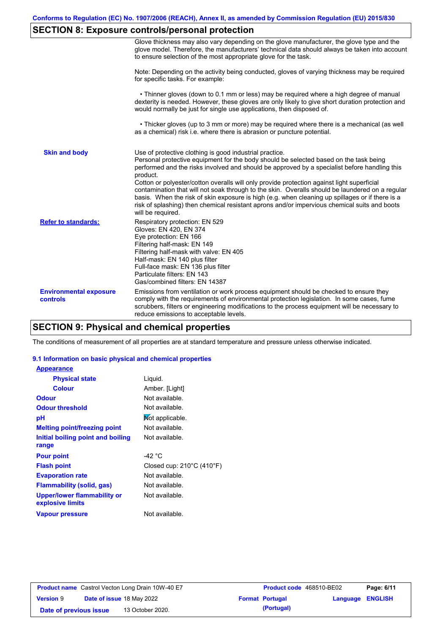# **SECTION 8: Exposure controls/personal protection**

|                                           | Glove thickness may also vary depending on the glove manufacturer, the glove type and the<br>glove model. Therefore, the manufacturers' technical data should always be taken into account<br>to ensure selection of the most appropriate glove for the task.                                                                                                                                                                                                                                                                                                                                                                                                                         |
|-------------------------------------------|---------------------------------------------------------------------------------------------------------------------------------------------------------------------------------------------------------------------------------------------------------------------------------------------------------------------------------------------------------------------------------------------------------------------------------------------------------------------------------------------------------------------------------------------------------------------------------------------------------------------------------------------------------------------------------------|
|                                           | Note: Depending on the activity being conducted, gloves of varying thickness may be required<br>for specific tasks. For example:                                                                                                                                                                                                                                                                                                                                                                                                                                                                                                                                                      |
|                                           | • Thinner gloves (down to 0.1 mm or less) may be required where a high degree of manual<br>dexterity is needed. However, these gloves are only likely to give short duration protection and<br>would normally be just for single use applications, then disposed of.                                                                                                                                                                                                                                                                                                                                                                                                                  |
|                                           | • Thicker gloves (up to 3 mm or more) may be required where there is a mechanical (as well<br>as a chemical) risk i.e. where there is abrasion or puncture potential.                                                                                                                                                                                                                                                                                                                                                                                                                                                                                                                 |
| <b>Skin and body</b>                      | Use of protective clothing is good industrial practice.<br>Personal protective equipment for the body should be selected based on the task being<br>performed and the risks involved and should be approved by a specialist before handling this<br>product.<br>Cotton or polyester/cotton overalls will only provide protection against light superficial<br>contamination that will not soak through to the skin. Overalls should be laundered on a regular<br>basis. When the risk of skin exposure is high (e.g. when cleaning up spillages or if there is a<br>risk of splashing) then chemical resistant aprons and/or impervious chemical suits and boots<br>will be required. |
| <b>Refer to standards:</b>                | Respiratory protection: EN 529<br>Gloves: EN 420, EN 374<br>Eye protection: EN 166<br>Filtering half-mask: EN 149<br>Filtering half-mask with valve: EN 405<br>Half-mask: EN 140 plus filter<br>Full-face mask: EN 136 plus filter<br>Particulate filters: EN 143<br>Gas/combined filters: EN 14387                                                                                                                                                                                                                                                                                                                                                                                   |
| <b>Environmental exposure</b><br>controls | Emissions from ventilation or work process equipment should be checked to ensure they<br>comply with the requirements of environmental protection legislation. In some cases, fume<br>scrubbers, filters or engineering modifications to the process equipment will be necessary to<br>reduce emissions to acceptable levels.                                                                                                                                                                                                                                                                                                                                                         |

## **SECTION 9: Physical and chemical properties**

The conditions of measurement of all properties are at standard temperature and pressure unless otherwise indicated.

#### **9.1 Information on basic physical and chemical properties**

| <b>Appearance</b>                               |                                                |
|-------------------------------------------------|------------------------------------------------|
| <b>Physical state</b>                           | Liquid.                                        |
| <b>Colour</b>                                   | Amber. [Light]                                 |
| Odour                                           | Not available.                                 |
| <b>Odour threshold</b>                          | Not available.                                 |
| рH                                              | Not applicable.                                |
| <b>Melting point/freezing point</b>             | Not available.                                 |
| Initial boiling point and boiling               | Not available.                                 |
| range                                           |                                                |
| <b>Pour point</b>                               | -42 °C                                         |
| <b>Flash point</b>                              | Closed cup: $210^{\circ}$ C (410 $^{\circ}$ F) |
| <b>Evaporation rate</b>                         | Not available.                                 |
| Flammability (solid, gas)                       | Not available.                                 |
| Upper/lower flammability or<br>explosive limits | Not available.                                 |
| <b>Vapour pressure</b>                          | Not available.                                 |

|                        | <b>Product name</b> Castrol Vecton Long Drain 10W-40 E7 | <b>Product code</b> 468510-BE02 |                         | Page: 6/11 |
|------------------------|---------------------------------------------------------|---------------------------------|-------------------------|------------|
| <b>Version 9</b>       | <b>Date of issue 18 May 2022</b>                        | <b>Format Portugal</b>          | <b>Language ENGLISH</b> |            |
| Date of previous issue | 13 October 2020.                                        | (Portugal)                      |                         |            |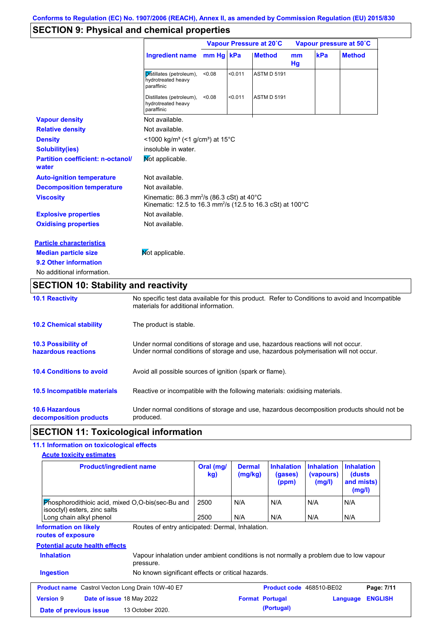# **SECTION 9: Physical and chemical properties**

|                                                   |                                                                                                                                           | Vapour Pressure at 20°C |         |                    | Vapour pressure at 50°C |     |               |
|---------------------------------------------------|-------------------------------------------------------------------------------------------------------------------------------------------|-------------------------|---------|--------------------|-------------------------|-----|---------------|
|                                                   | <b>Ingredient name</b>                                                                                                                    | mm Hg kPa               |         | <b>Method</b>      | mm<br>Hg                | kPa | <b>Method</b> |
|                                                   | Distillates (petroleum),<br>hydrotreated heavy<br>paraffinic                                                                              | < 0.08                  | < 0.011 | <b>ASTM D 5191</b> |                         |     |               |
|                                                   | Distillates (petroleum),<br>hydrotreated heavy<br>paraffinic                                                                              | < 0.08                  | < 0.011 | <b>ASTM D 5191</b> |                         |     |               |
| <b>Vapour density</b>                             | Not available.                                                                                                                            |                         |         |                    |                         |     |               |
| <b>Relative density</b>                           | Not available.                                                                                                                            |                         |         |                    |                         |     |               |
| <b>Density</b>                                    | <1000 kg/m <sup>3</sup> (<1 g/cm <sup>3</sup> ) at 15°C                                                                                   |                         |         |                    |                         |     |               |
| <b>Solubility(ies)</b>                            | insoluble in water.                                                                                                                       |                         |         |                    |                         |     |               |
| <b>Partition coefficient: n-octanol/</b><br>water | Mot applicable.                                                                                                                           |                         |         |                    |                         |     |               |
| <b>Auto-ignition temperature</b>                  | Not available.                                                                                                                            |                         |         |                    |                         |     |               |
| <b>Decomposition temperature</b>                  | Not available.                                                                                                                            |                         |         |                    |                         |     |               |
| <b>Viscosity</b>                                  | Kinematic: 86.3 mm <sup>2</sup> /s (86.3 cSt) at $40^{\circ}$ C<br>Kinematic: 12.5 to 16.3 mm <sup>2</sup> /s (12.5 to 16.3 cSt) at 100°C |                         |         |                    |                         |     |               |
| <b>Explosive properties</b>                       | Not available.                                                                                                                            |                         |         |                    |                         |     |               |
| <b>Oxidising properties</b>                       | Not available.                                                                                                                            |                         |         |                    |                         |     |               |
| <b>Particle characteristics</b>                   |                                                                                                                                           |                         |         |                    |                         |     |               |
| <b>Median particle size</b>                       | Mot applicable.                                                                                                                           |                         |         |                    |                         |     |               |
| 9.2 Other information                             |                                                                                                                                           |                         |         |                    |                         |     |               |
| No additional information.                        |                                                                                                                                           |                         |         |                    |                         |     |               |

# **SECTION 10: Stability and reactivity**

| <b>10.1 Reactivity</b>                            | No specific test data available for this product. Refer to Conditions to avoid and Incompatible<br>materials for additional information.                                |
|---------------------------------------------------|-------------------------------------------------------------------------------------------------------------------------------------------------------------------------|
| <b>10.2 Chemical stability</b>                    | The product is stable.                                                                                                                                                  |
| <b>10.3 Possibility of</b><br>hazardous reactions | Under normal conditions of storage and use, hazardous reactions will not occur.<br>Under normal conditions of storage and use, hazardous polymerisation will not occur. |
| <b>10.4 Conditions to avoid</b>                   | Avoid all possible sources of ignition (spark or flame).                                                                                                                |
| <b>10.5 Incompatible materials</b>                | Reactive or incompatible with the following materials: oxidising materials.                                                                                             |
| <b>10.6 Hazardous</b><br>decomposition products   | Under normal conditions of storage and use, hazardous decomposition products should not be<br>produced.                                                                 |

### **SECTION 11: Toxicological information**

### **11.1 Information on toxicological effects**

| <b>Product/ingredient name</b>                                                                                                                                    | Oral (mg/<br>kg) | <b>Dermal</b><br>(mg/kg) | <b>Inhalation</b><br>(gases)<br>(ppm) | <b>Inhalation</b><br>(vapours)<br>(mg/l) | <b>Inhalation</b><br>(dusts)<br>and mists)<br>(mg/l) |
|-------------------------------------------------------------------------------------------------------------------------------------------------------------------|------------------|--------------------------|---------------------------------------|------------------------------------------|------------------------------------------------------|
| <b>Phosphorodithioic acid, mixed O.O-bis (sec-Bu and</b><br>isooctyl) esters, zinc salts                                                                          | 2500             | N/A                      | N/A                                   | N/A                                      | N/A                                                  |
| Long chain alkyl phenol                                                                                                                                           | 2500             | N/A                      | N/A                                   | N/A                                      | N/A                                                  |
| Routes of entry anticipated: Dermal, Inhalation.<br><b>Information on likely</b><br>routes of exposure                                                            |                  |                          |                                       |                                          |                                                      |
|                                                                                                                                                                   |                  |                          |                                       |                                          |                                                      |
| <b>Potential acute health effects</b><br><b>Inhalation</b><br>Vapour inhalation under ambient conditions is not normally a problem due to low vapour<br>pressure. |                  |                          |                                       |                                          |                                                      |
| <b>Ingestion</b><br>No known significant effects or critical hazards.                                                                                             |                  |                          |                                       |                                          |                                                      |
| <b>Product name</b> Castrol Vecton Long Drain 10W-40 E7                                                                                                           |                  |                          | Product code 468510-BE02              |                                          | Page: 7/11                                           |
| <b>Version 9</b><br><b>Date of issue 18 May 2022</b>                                                                                                              |                  | <b>Format Portugal</b>   |                                       |                                          | <b>ENGLISH</b><br>Language                           |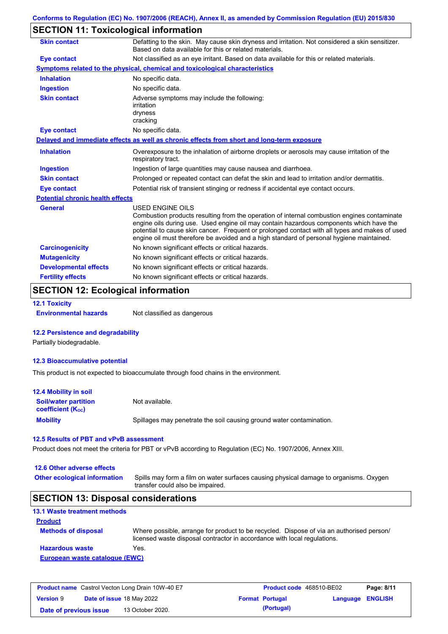## **SECTION 11: Toxicological information**

| <b>Skin contact</b>                     | Defatting to the skin. May cause skin dryness and irritation. Not considered a skin sensitizer.<br>Based on data available for this or related materials.                                                                                                                                                                                                                                                       |
|-----------------------------------------|-----------------------------------------------------------------------------------------------------------------------------------------------------------------------------------------------------------------------------------------------------------------------------------------------------------------------------------------------------------------------------------------------------------------|
| Eye contact                             | Not classified as an eye irritant. Based on data available for this or related materials.                                                                                                                                                                                                                                                                                                                       |
|                                         | Symptoms related to the physical, chemical and toxicological characteristics                                                                                                                                                                                                                                                                                                                                    |
| <b>Inhalation</b>                       | No specific data.                                                                                                                                                                                                                                                                                                                                                                                               |
| <b>Ingestion</b>                        | No specific data.                                                                                                                                                                                                                                                                                                                                                                                               |
| <b>Skin contact</b>                     | Adverse symptoms may include the following:<br>irritation<br>dryness<br>cracking                                                                                                                                                                                                                                                                                                                                |
| <b>Eye contact</b>                      | No specific data.                                                                                                                                                                                                                                                                                                                                                                                               |
|                                         | Delayed and immediate effects as well as chronic effects from short and long-term exposure                                                                                                                                                                                                                                                                                                                      |
| <b>Inhalation</b>                       | Overexposure to the inhalation of airborne droplets or aerosols may cause irritation of the<br>respiratory tract.                                                                                                                                                                                                                                                                                               |
| <b>Ingestion</b>                        | Ingestion of large quantities may cause nausea and diarrhoea.                                                                                                                                                                                                                                                                                                                                                   |
| <b>Skin contact</b>                     | Prolonged or repeated contact can defat the skin and lead to irritation and/or dermatitis.                                                                                                                                                                                                                                                                                                                      |
| Eye contact                             | Potential risk of transient stinging or redness if accidental eye contact occurs.                                                                                                                                                                                                                                                                                                                               |
| <b>Potential chronic health effects</b> |                                                                                                                                                                                                                                                                                                                                                                                                                 |
| <b>General</b>                          | <b>USED ENGINE OILS</b><br>Combustion products resulting from the operation of internal combustion engines contaminate<br>engine oils during use. Used engine oil may contain hazardous components which have the<br>potential to cause skin cancer. Frequent or prolonged contact with all types and makes of used<br>engine oil must therefore be avoided and a high standard of personal hygiene maintained. |
| <b>Carcinogenicity</b>                  | No known significant effects or critical hazards.                                                                                                                                                                                                                                                                                                                                                               |
| <b>Mutagenicity</b>                     | No known significant effects or critical hazards.                                                                                                                                                                                                                                                                                                                                                               |
| <b>Developmental effects</b>            | No known significant effects or critical hazards.                                                                                                                                                                                                                                                                                                                                                               |
| <b>Fertility effects</b>                | No known significant effects or critical hazards.                                                                                                                                                                                                                                                                                                                                                               |

# **SECTION 12: Ecological information**

**12.1 Toxicity**

**Environmental hazards** Not classified as dangerous

#### **12.2 Persistence and degradability**

Partially biodegradable.

#### **12.3 Bioaccumulative potential**

This product is not expected to bioaccumulate through food chains in the environment.

| <b>12.4 Mobility in soil</b>                                  |                                                                      |
|---------------------------------------------------------------|----------------------------------------------------------------------|
| <b>Soil/water partition</b><br>coefficient (K <sub>oc</sub> ) | Not available.                                                       |
| <b>Mobility</b>                                               | Spillages may penetrate the soil causing ground water contamination. |

#### **12.5 Results of PBT and vPvB assessment**

Product does not meet the criteria for PBT or vPvB according to Regulation (EC) No. 1907/2006, Annex XIII.

#### **12.6 Other adverse effects**

**Other ecological information**

Spills may form a film on water surfaces causing physical damage to organisms. Oxygen transfer could also be impaired.

#### **SECTION 13: Disposal considerations**

| <b>13.1 Waste treatment methods</b> |                                                                                                                                                                      |
|-------------------------------------|----------------------------------------------------------------------------------------------------------------------------------------------------------------------|
| <b>Product</b>                      |                                                                                                                                                                      |
| <b>Methods of disposal</b>          | Where possible, arrange for product to be recycled. Dispose of via an authorised person/<br>licensed waste disposal contractor in accordance with local regulations. |
| <b>Hazardous waste</b>              | Yes.                                                                                                                                                                 |
| European waste catalogue (EWC)      |                                                                                                                                                                      |

| <b>Product name</b> Castrol Vecton Long Drain 10W-40 E7 |  |                                  | <b>Product code</b> 468510-BE02 | Page: 8/11             |                  |  |
|---------------------------------------------------------|--|----------------------------------|---------------------------------|------------------------|------------------|--|
| <b>Version 9</b>                                        |  | <b>Date of issue 18 May 2022</b> |                                 | <b>Format Portugal</b> | Language ENGLISH |  |
| Date of previous issue                                  |  | 13 October 2020.                 |                                 | (Portugal)             |                  |  |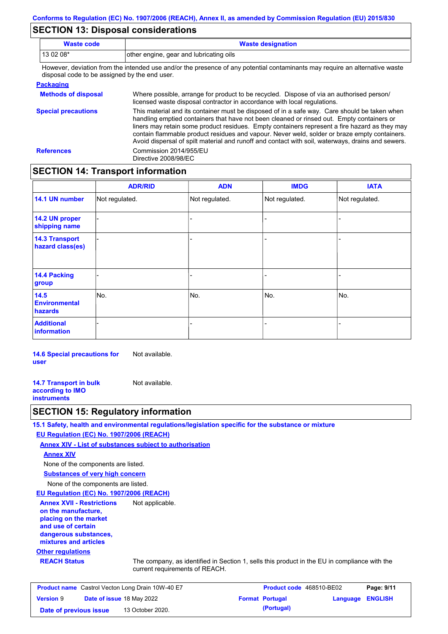### **SECTION 13: Disposal considerations**

| <b>Waste code</b> | <b>Waste designation</b>                                                                                                                            |  |
|-------------------|-----------------------------------------------------------------------------------------------------------------------------------------------------|--|
| $130208*$         | other engine, gear and lubricating oils                                                                                                             |  |
|                   | Thermonical collection forms that between the discussion of the contention of contentration and many manufacturers and the mathematics contribution |  |

However, deviation from the intended use and/or the presence of any potential contaminants may require an alternative waste disposal code to be assigned by the end user.

| <b>Packaging</b>           |                                                                                                                                                                                                                                                                                                                                                                                                                                                                                                 |
|----------------------------|-------------------------------------------------------------------------------------------------------------------------------------------------------------------------------------------------------------------------------------------------------------------------------------------------------------------------------------------------------------------------------------------------------------------------------------------------------------------------------------------------|
| <b>Methods of disposal</b> | Where possible, arrange for product to be recycled. Dispose of via an authorised person/<br>licensed waste disposal contractor in accordance with local regulations.                                                                                                                                                                                                                                                                                                                            |
| <b>Special precautions</b> | This material and its container must be disposed of in a safe way. Care should be taken when<br>handling emptied containers that have not been cleaned or rinsed out. Empty containers or<br>liners may retain some product residues. Empty containers represent a fire hazard as they may<br>contain flammable product residues and vapour. Never weld, solder or braze empty containers.<br>Avoid dispersal of spilt material and runoff and contact with soil, waterways, drains and sewers. |
| <b>References</b>          | Commission 2014/955/EU<br>Directive 2008/98/EC                                                                                                                                                                                                                                                                                                                                                                                                                                                  |

### **SECTION 14: Transport information**

|                                           | <b>ADR/RID</b> | <b>ADN</b>     | <b>IMDG</b>    | <b>IATA</b>    |
|-------------------------------------------|----------------|----------------|----------------|----------------|
| 14.1 UN number                            | Not regulated. | Not regulated. | Not regulated. | Not regulated. |
| 14.2 UN proper<br>shipping name           |                |                | ۰              |                |
| <b>14.3 Transport</b><br>hazard class(es) |                |                | -              |                |
| <b>14.4 Packing</b><br>group              |                |                | -              |                |
| 14.5<br><b>Environmental</b><br>hazards   | No.            | No.            | No.            | No.            |
| <b>Additional</b><br><b>information</b>   |                |                |                |                |

**14.6 Special precautions for user** Not available.

**14.7 Transport in bulk according to IMO instruments** Not available.

#### **SECTION 15: Regulatory information**

**15.1 Safety, health and environmental regulations/legislation specific for the substance or mixture**

**EU Regulation (EC) No. 1907/2006 (REACH)**

**Annex XIV - List of substances subject to authorisation**

**Annex XIV**

None of the components are listed.

**Substances of very high concern**

None of the components are listed.

**EU Regulation (EC) No. 1907/2006 (REACH)**

**Annex XVII - Restrictions on the manufacture, placing on the market and use of certain dangerous substances, mixtures and articles** Not applicable.

#### **Other regulations**

**REACH Status** The company, as identified in Section 1, sells this product in the EU in compliance with the current requirements of REACH.

| <b>Product name</b> Castrol Vecton Long Drain 10W-40 E7 |  | <b>Product code</b> 468510-BE02  |  | Page: 9/11             |                         |  |
|---------------------------------------------------------|--|----------------------------------|--|------------------------|-------------------------|--|
| <b>Version 9</b>                                        |  | <b>Date of issue 18 May 2022</b> |  | <b>Format Portugal</b> | <b>Language ENGLISH</b> |  |
| Date of previous issue                                  |  | 13 October 2020.                 |  | (Portugal)             |                         |  |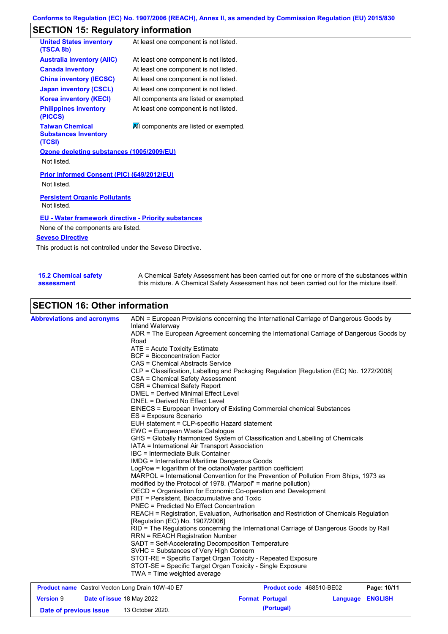# **SECTION 15: Regulatory information**

| <b>United States inventory</b><br>(TSCA 8b)                     | At least one component is not listed.  |
|-----------------------------------------------------------------|----------------------------------------|
| <b>Australia inventory (AIIC)</b>                               | At least one component is not listed.  |
| <b>Canada inventory</b>                                         | At least one component is not listed.  |
| <b>China inventory (IECSC)</b>                                  | At least one component is not listed.  |
| <b>Japan inventory (CSCL)</b>                                   | At least one component is not listed.  |
| <b>Korea inventory (KECI)</b>                                   | All components are listed or exempted. |
| <b>Philippines inventory</b><br>(PICCS)                         | At least one component is not listed.  |
| <b>Taiwan Chemical</b><br><b>Substances Inventory</b><br>(TCSI) | All components are listed or exempted. |
| Ozone depleting substances (1005/2009/EU)                       |                                        |
| Not listed.                                                     |                                        |
| Prior Informed Consent (PIC) (649/2012/EU)<br>Not listed.       |                                        |
| <b>Persistent Organic Pollutants</b><br>Not listed.             |                                        |
| <b>EU - Water framework directive - Priority substances</b>     |                                        |
| None of the components are listed.                              |                                        |
| <b>Seveso Directive</b>                                         |                                        |
| This product is not controlled under the Seveso Directive.      |                                        |

| 15.2 Chemical safety | A Chemical Safety Assessment has been carried out for one or more of the substances within  |
|----------------------|---------------------------------------------------------------------------------------------|
| assessment           | this mixture. A Chemical Safety Assessment has not been carried out for the mixture itself. |

## **SECTION 16: Other information**

| <b>Abbreviations and acronyms</b> | ADN = European Provisions concerning the International Carriage of Dangerous Goods by<br>Inland Waterway<br>ADR = The European Agreement concerning the International Carriage of Dangerous Goods by<br>Road<br>ATE = Acute Toxicity Estimate<br><b>BCF</b> = Bioconcentration Factor<br>CAS = Chemical Abstracts Service<br>CLP = Classification, Labelling and Packaging Regulation [Regulation (EC) No. 1272/2008]<br>CSA = Chemical Safety Assessment<br>CSR = Chemical Safety Report<br><b>DMEL = Derived Minimal Effect Level</b><br>DNEL = Derived No Effect Level<br>EINECS = European Inventory of Existing Commercial chemical Substances<br>ES = Exposure Scenario<br>EUH statement = CLP-specific Hazard statement<br>EWC = European Waste Catalogue<br>GHS = Globally Harmonized System of Classification and Labelling of Chemicals<br>IATA = International Air Transport Association<br>IBC = Intermediate Bulk Container<br><b>IMDG</b> = International Maritime Dangerous Goods<br>LogPow = logarithm of the octanol/water partition coefficient<br>MARPOL = International Convention for the Prevention of Pollution From Ships, 1973 as<br>modified by the Protocol of 1978. ("Marpol" = marine pollution)<br>OECD = Organisation for Economic Co-operation and Development<br>PBT = Persistent, Bioaccumulative and Toxic<br><b>PNEC</b> = Predicted No Effect Concentration<br>REACH = Registration, Evaluation, Authorisation and Restriction of Chemicals Regulation<br>[Regulation (EC) No. 1907/2006]<br>RID = The Regulations concerning the International Carriage of Dangerous Goods by Rail<br><b>RRN = REACH Registration Number</b><br>SADT = Self-Accelerating Decomposition Temperature<br>SVHC = Substances of Very High Concern<br>STOT-RE = Specific Target Organ Toxicity - Repeated Exposure |
|-----------------------------------|------------------------------------------------------------------------------------------------------------------------------------------------------------------------------------------------------------------------------------------------------------------------------------------------------------------------------------------------------------------------------------------------------------------------------------------------------------------------------------------------------------------------------------------------------------------------------------------------------------------------------------------------------------------------------------------------------------------------------------------------------------------------------------------------------------------------------------------------------------------------------------------------------------------------------------------------------------------------------------------------------------------------------------------------------------------------------------------------------------------------------------------------------------------------------------------------------------------------------------------------------------------------------------------------------------------------------------------------------------------------------------------------------------------------------------------------------------------------------------------------------------------------------------------------------------------------------------------------------------------------------------------------------------------------------------------------------------------------------------------------------------------------------------------------------------------------------------|
|                                   | STOT-SE = Specific Target Organ Toxicity - Single Exposure<br>TWA = Time weighted average                                                                                                                                                                                                                                                                                                                                                                                                                                                                                                                                                                                                                                                                                                                                                                                                                                                                                                                                                                                                                                                                                                                                                                                                                                                                                                                                                                                                                                                                                                                                                                                                                                                                                                                                          |

| <b>Product name</b> Castrol Vecton Long Drain 10W-40 E7 |  | <b>Product code</b> 468510-BE02 |  | Page: 10/11            |                         |  |
|---------------------------------------------------------|--|---------------------------------|--|------------------------|-------------------------|--|
| <b>Version 9</b>                                        |  | Date of issue 18 May 2022       |  | <b>Format Portugal</b> | <b>Language ENGLISH</b> |  |
| Date of previous issue                                  |  | 13 October 2020.                |  | (Portugal)             |                         |  |